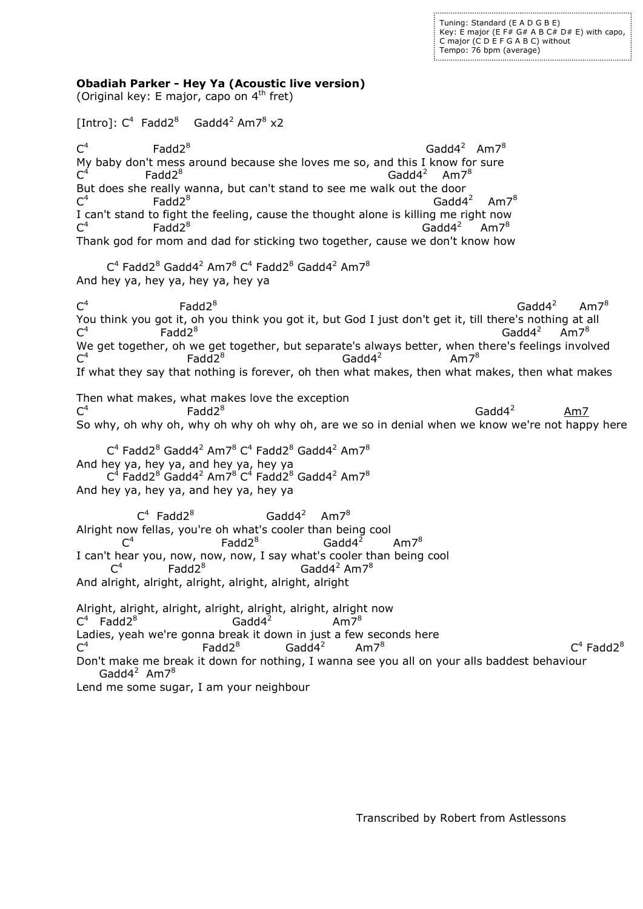Tuning: Standard (E A D G B E) Key: E major (E F# G# A B C# D# E) with capo, C major (C D E F G A B C) without Tempo: 76 bpm (average)

## **Obadiah Parker - Hey Ya (Acoustic live version)**

(Original key: E major, capo on 4<sup>th</sup> fret)

[Intro]:  $C^4$  Fadd2<sup>8</sup> Gadd4<sup>2</sup> Am7<sup>8</sup> x2

 $C^4$ Fadd2<sup>8</sup>  $\rm{Gadd4}^2$   $\rm{Am7}^8$ My baby don't mess around because she loves me so, and this I know for sure  $C^4$ Fadd2<sup>8</sup>  $\mathrm{Gadd4}^2$  Am7 $^8$ But does she really wanna, but can't stand to see me walk out the door  $C^4$ Fadd2<sup>8</sup>  $Gadd4<sup>2</sup>$  Am7<sup>8</sup> I can't stand to fight the feeling, cause the thought alone is killing me right now  $C^4$ Fadd2<sup>8</sup>  $Gadd4<sup>2</sup>$ Am $7^8$ Thank god for mom and dad for sticking two together, cause we don't know how

 $\mathsf{C}^4$  Fadd $\mathsf{2}^8$  Gadd $\mathsf{4}^2$  Am $\mathsf{7}^8$   $\mathsf{C}^4$  Fadd $\mathsf{2}^8$  Gadd $\mathsf{4}^2$  Am $\mathsf{7}^8$ And hey ya, hey ya, hey ya, hey ya

 $C^4$ Fadd<sup>28</sup>  $Gadd4<sup>2</sup>$  $Am7<sup>8</sup>$ You think you got it, oh you think you got it, but God I just don't get it, till there's nothing at all  $C^4$ Fadd2<sup>8</sup>  $\mathsf{Gadd4}^2$ Gadd $4^2$  Am7<sup>8</sup> We get together, oh we get together, but separate's always better, when there's feelings involved  $C^4$ Fadd2<sup>8</sup>  $Gadd4<sup>2</sup>$ Am $7^8$ If what they say that nothing is forever, oh then what makes, then what makes, then what makes

Then what makes, what makes love the exception  $C^4$  Fadd2<sup>8</sup>  $Gadd4<sup>2</sup>$  Am7 So why, oh why oh, why oh why oh why oh, are we so in denial when we know we're not happy here

 $\mathsf{C}^4$  Fadd $\mathsf{2}^8$  Gadd $\mathsf{4}^2$  Am $\mathsf{7}^8$   $\mathsf{C}^4$  Fadd $\mathsf{2}^8$  Gadd $\mathsf{4}^2$  Am $\mathsf{7}^8$ And hey ya, hey ya, and hey ya, hey ya  $\mathsf{C}^4$  Fadd $\mathsf{2}^8$  Gadd $\mathsf{4}^2$  Am $\mathsf{7}^8$   $\mathsf{C}^4$  Fadd $\mathsf{2}^8$  Gadd $\mathsf{4}^2$  Am $\mathsf{7}^8$ And hey ya, hey ya, and hey ya, hey ya

 $C^4$  Fadd $2^8$ Gadd $4^2$  Am $7^8$ Alright now fellas, you're oh what's cooler than being cool C 4  $\mathsf{Fadd2}^8$  $Gadd4<sup>2</sup>$  Am7<sup>8</sup> I can't hear you, now, now, now, I say what's cooler than being cool  $C^4$ Fadd2<sup>8</sup> Gadd4<sup>2</sup> Am7<sup>8</sup> And alright, alright, alright, alright, alright, alright

Alright, alright, alright, alright, alright, alright, alright now  $C^4$  Fadd2 $8$  $Gadd4<sup>2</sup>$ Am $7^8$ Ladies, yeah we're gonna break it down in just a few seconds here  $C^4$ Fadd2<sup>8</sup>  $Gadd4<sup>2</sup>$ Am $7^8$ **C** and the contract of the contract of the contract of the contract of the contract of the contract of the contract of the contract of the contract of the contract of the contract of the contract of the contract of the co  $14$  Fadd $2^8$ Don't make me break it down for nothing, I wanna see you all on your alls baddest behaviour Gadd $4^2$  Am $7^8$ Lend me some sugar, I am your neighbour